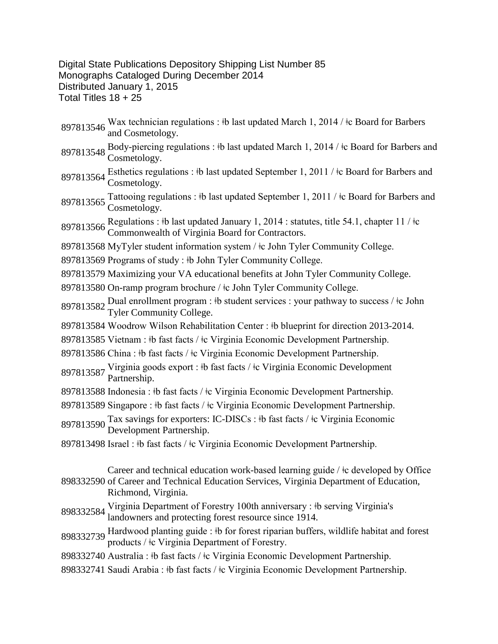Digital State Publications Depository Shipping List Number 85 Monographs Cataloged During December 2014 Distributed January 1, 2015 Total Titles 18 + 25

- 897813546 Wax technician regulations : ‡b last updated March 1, 2014 / ‡c Board for Barbers and Cosmetology.
- 897813548 Body-piercing regulations : ‡b last updated March 1, 2014 / ‡c Board for Barbers and Cosmetology.
- 897813564 Esthetics regulations : ‡b last updated September 1, 2011 / ‡c Board for Barbers and Cosmetology.
- 897813565 Tattooing regulations : ‡b last updated September 1, 2011 / ‡c Board for Barbers and Cosmetology.
- 897813566 Regulations : ‡b last updated January 1, 2014 : statutes, title 54.1, chapter 11 / ‡c Commonwealth of Virginia Board for Contractors.
- 897813568 MyTyler student information system / ǂc John Tyler Community College.
- 897813569 Programs of study : ‡b John Tyler Community College.
- 897813579 Maximizing your VA educational benefits at John Tyler Community College.
- 897813580 On-ramp program brochure / ǂc John Tyler Community College.
- 897813582 Dual enrollment program : ‡b student services : your pathway to success / ‡c John Tyler Community College.
- 897813584 Woodrow Wilson Rehabilitation Center : ‡b blueprint for direction 2013-2014.
- 897813585 Vietnam : ‡b fast facts / ‡c Virginia Economic Development Partnership.
- 897813586 China : ‡b fast facts / ‡c Virginia Economic Development Partnership.
- 897813587 Virginia goods export : ‡b fast facts / ‡c Virginia Economic Development<br>Partnership.
- 897813588 Indonesia : ‡b fast facts / ‡c Virginia Economic Development Partnership.
- 897813589 Singapore : ‡b fast facts / ‡c Virginia Economic Development Partnership.
- <sup>897813590</sup> Tax savings for exporters: IC-DISCs : ǂb fast facts / ǂc Virginia Economic Development Partnership.
- 897813498 Israel : ‡b fast facts / ‡c Virginia Economic Development Partnership.
- 898332590 of Career and Technical Education Services, Virginia Department of Education, Career and technical education work-based learning guide / ǂc developed by Office Richmond, Virginia.
- 898332584 Virginia Department of Forestry 100th anniversary : ‡b serving Virginia's landowners and protecting forest resource since 1914.
- 898332739 Hardwood planting guide : ‡b for forest riparian buffers, wildlife habitat and forest products / ǂc Virginia Department of Forestry.
- 898332740 Australia : ǂb fast facts / ǂc Virginia Economic Development Partnership.
- 898332741 Saudi Arabia : ‡b fast facts / ‡c Virginia Economic Development Partnership.